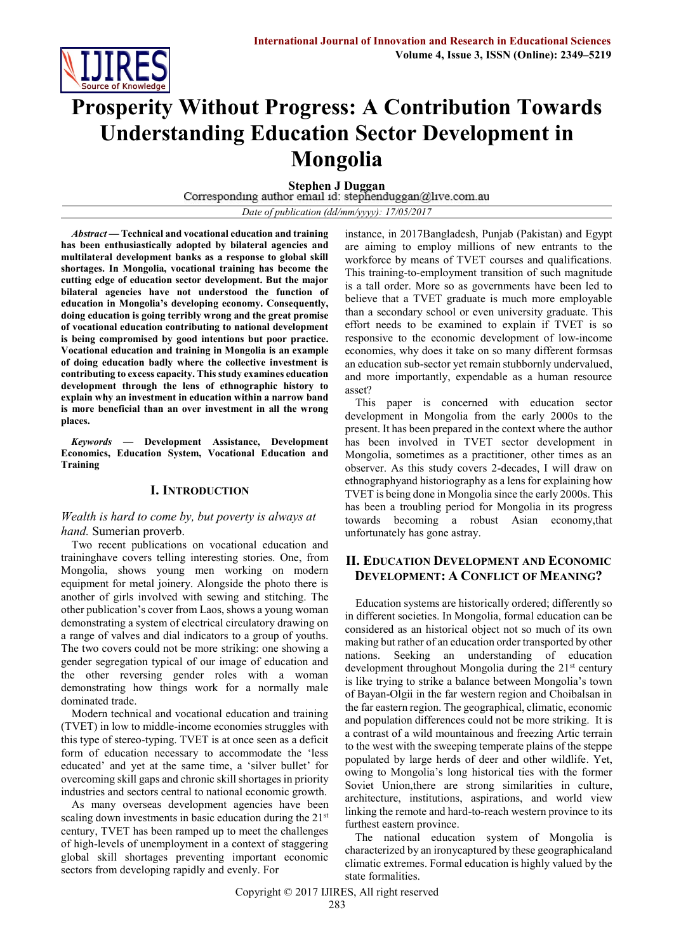

# **Prosperity Without Progress: A Contribution Towards Understanding Education Sector Development in Mongolia**

**Stephen J Duggan**<br>Corresponding author email id: stephenduggan@live.com.au

*Date of publication (dd/mm/yyyy): 17/05/2017*

*Abstract* **— Technical and vocational education and training has been enthusiastically adopted by bilateral agencies and multilateral development banks as a response to global skill shortages. In Mongolia, vocational training has become the cutting edge of education sector development. But the major bilateral agencies have not understood the function of education in Mongolia's developing economy. Consequently, doing education is going terribly wrong and the great promise of vocational education contributing to national development is being compromised by good intentions but poor practice. Vocational education and training in Mongolia is an example of doing education badly where the collective investment is contributing to excess capacity. This study examines education development through the lens of ethnographic history to explain why an investment in education within a narrow band is more beneficial than an over investment in all the wrong places.**

*Keywords* **— Development Assistance, Development Economics, Education System, Vocational Education and Training**

### **I. INTRODUCTION**

#### *Wealth is hard to come by, but poverty is always at hand.* Sumerian proverb.

Two recent publications on vocational education and traininghave covers telling interesting stories. One, from Mongolia, shows young men working on modern equipment for metal joinery. Alongside the photo there is another of girls involved with sewing and stitching. The other publication's cover from Laos, shows a young woman demonstrating a system of electrical circulatory drawing on a range of valves and dial indicators to a group of youths. The two covers could not be more striking: one showing a gender segregation typical of our image of education and the other reversing gender roles with a woman demonstrating how things work for a normally male dominated trade.

Modern technical and vocational education and training (TVET) in low to middle-income economies struggles with this type of stereo-typing. TVET is at once seen as a deficit form of education necessary to accommodate the 'less educated' and yet at the same time, a 'silver bullet' for overcoming skill gaps and chronic skill shortages in priority industries and sectors central to national economic growth.

As many overseas development agencies have been scaling down investments in basic education during the 21<sup>st</sup> century, TVET has been ramped up to meet the challenges of high-levels of unemployment in a context of staggering global skill shortages preventing important economic sectors from developing rapidly and evenly. For

instance, in 2017Bangladesh, Punjab (Pakistan) and Egypt are aiming to employ millions of new entrants to the workforce by means of TVET courses and qualifications. This training-to-employment transition of such magnitude is a tall order. More so as governments have been led to believe that a TVET graduate is much more employable than a secondary school or even university graduate. This effort needs to be examined to explain if TVET is so responsive to the economic development of low-income economies, why does it take on so many different formsas an education sub-sector yet remain stubbornly undervalued, and more importantly, expendable as a human resource asset?

This paper is concerned with education sector development in Mongolia from the early 2000s to the present. It has been prepared in the context where the author has been involved in TVET sector development in Mongolia, sometimes as a practitioner, other times as an observer. As this study covers 2-decades, I will draw on ethnographyand historiography as a lens for explaining how TVET is being done in Mongolia since the early 2000s. This has been a troubling period for Mongolia in its progress towards becoming a robust Asian economy,that unfortunately has gone astray.

## **II. EDUCATION DEVELOPMENT AND ECONOMIC DEVELOPMENT: A CONFLICT OF MEANING?**

Education systems are historically ordered; differently so in different societies. In Mongolia, formal education can be considered as an historical object not so much of its own making but rather of an education order transported by other nations. Seeking an understanding of education development throughout Mongolia during the  $21<sup>st</sup>$  century is like trying to strike a balance between Mongolia's town of Bayan-Olgii in the far western region and Choibalsan in the far eastern region. The geographical, climatic, economic and population differences could not be more striking. It is a contrast of a wild mountainous and freezing Artic terrain to the west with the sweeping temperate plains of the steppe populated by large herds of deer and other wildlife. Yet, owing to Mongolia's long historical ties with the former Soviet Union,there are strong similarities in culture, architecture, institutions, aspirations, and world view linking the remote and hard-to-reach western province to its furthest eastern province.

The national education system of Mongolia is characterized by an ironycaptured by these geographicaland climatic extremes. Formal education is highly valued by the state formalities.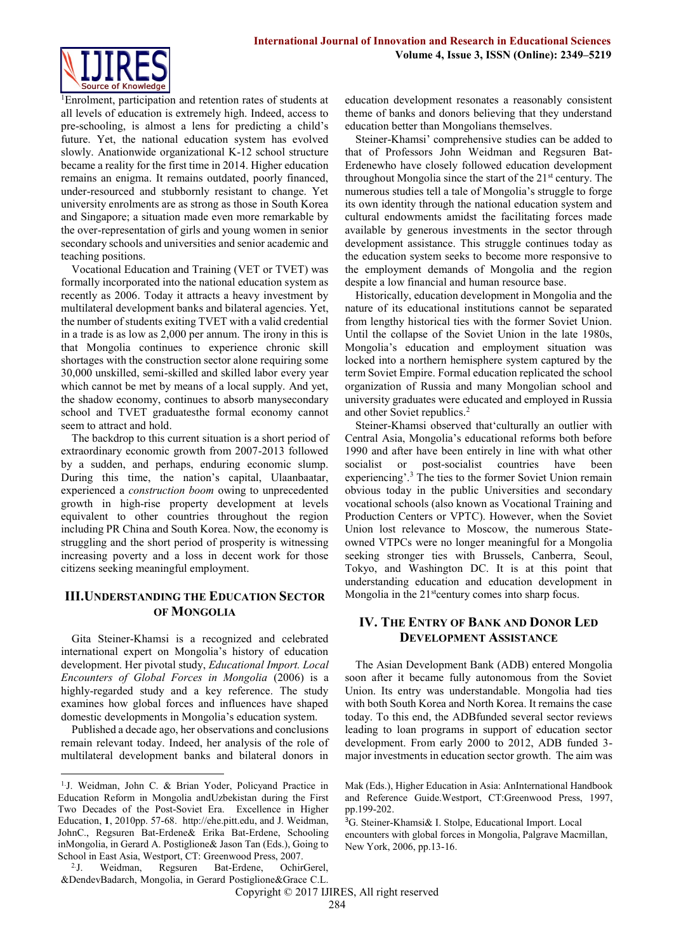

<sup>1</sup>Enrolment, participation and retention rates of students at all levels of education is extremely high. Indeed, access to pre-schooling, is almost a lens for predicting a child's future. Yet, the national education system has evolved slowly. Anationwide organizational K-12 school structure became a reality for the first time in 2014. Higher education remains an enigma. It remains outdated, poorly financed, under-resourced and stubbornly resistant to change. Yet university enrolments are as strong as those in South Korea and Singapore; a situation made even more remarkable by the over-representation of girls and young women in senior secondary schools and universities and senior academic and teaching positions.

Vocational Education and Training (VET or TVET) was formally incorporated into the national education system as recently as 2006. Today it attracts a heavy investment by multilateral development banks and bilateral agencies. Yet, the number of students exiting TVET with a valid credential in a trade is as low as 2,000 per annum. The irony in this is that Mongolia continues to experience chronic skill shortages with the construction sector alone requiring some 30,000 unskilled, semi-skilled and skilled labor every year which cannot be met by means of a local supply. And yet, the shadow economy, continues to absorb manysecondary school and TVET graduatesthe formal economy cannot seem to attract and hold.

The backdrop to this current situation is a short period of extraordinary economic growth from 2007-2013 followed by a sudden, and perhaps, enduring economic slump. During this time, the nation's capital, Ulaanbaatar, experienced a *construction boom* owing to unprecedented growth in high-rise property development at levels equivalent to other countries throughout the region including PR China and South Korea. Now, the economy is struggling and the short period of prosperity is witnessing increasing poverty and a loss in decent work for those citizens seeking meaningful employment.

### **III.UNDERSTANDING THE EDUCATION SECTOR OF MONGOLIA**

Gita Steiner-Khamsi is a recognized and celebrated international expert on Mongolia's history of education development. Her pivotal study, *Educational Import. Local Encounters of Global Forces in Mongolia* (2006) is a highly-regarded study and a key reference. The study examines how global forces and influences have shaped domestic developments in Mongolia's education system.

Published a decade ago, her observations and conclusions remain relevant today. Indeed, her analysis of the role of multilateral development banks and bilateral donors in

 $\rm{^{2}.J.}$ J. Weidman, Regsuren Bat-Erdene, OchirGerel, &DendevBadarch, Mongolia, in Gerard Postiglione&Grace C.L.

education development resonates a reasonably consistent theme of banks and donors believing that they understand education better than Mongolians themselves.

Steiner-Khamsi' comprehensive studies can be added to that of Professors John Weidman and Regsuren Bat-Erdenewho have closely followed education development throughout Mongolia since the start of the 21<sup>st</sup> century. The numerous studies tell a tale of Mongolia's struggle to forge its own identity through the national education system and cultural endowments amidst the facilitating forces made available by generous investments in the sector through development assistance. This struggle continues today as the education system seeks to become more responsive to the employment demands of Mongolia and the region despite a low financial and human resource base.

Historically, education development in Mongolia and the nature of its educational institutions cannot be separated from lengthy historical ties with the former Soviet Union. Until the collapse of the Soviet Union in the late 1980s, Mongolia's education and employment situation was locked into a northern hemisphere system captured by the term Soviet Empire. Formal education replicated the school organization of Russia and many Mongolian school and university graduates were educated and employed in Russia and other Soviet republics.<sup>2</sup>

Steiner-Khamsi observed that'culturally an outlier with Central Asia, Mongolia's educational reforms both before 1990 and after have been entirely in line with what other socialist or post-socialist countries have been experiencing'.<sup>3</sup> The ties to the former Soviet Union remain obvious today in the public Universities and secondary vocational schools (also known as Vocational Training and Production Centers or VPTC). However, when the Soviet Union lost relevance to Moscow, the numerous Stateowned VTPCs were no longer meaningful for a Mongolia seeking stronger ties with Brussels, Canberra, Seoul, Tokyo, and Washington DC. It is at this point that understanding education and education development in Mongolia in the  $21<sup>st</sup>$ century comes into sharp focus.

## **IV. THE ENTRY OF BANK AND DONOR LED DEVELOPMENT ASSISTANCE**

The Asian Development Bank (ADB) entered Mongolia soon after it became fully autonomous from the Soviet Union. Its entry was understandable. Mongolia had ties with both South Korea and North Korea. It remains the case today. To this end, the ADBfunded several sector reviews leading to loan programs in support of education sector development. From early 2000 to 2012, ADB funded 3 major investments in education sector growth. The aim was

**<sup>.</sup>** 1.J. Weidman, John C. & Brian Yoder, Policyand Practice in Education Reform in Mongolia andUzbekistan during the First Two Decades of the Post-Soviet Era. Excellence in Higher Education, **1**, 2010pp. 57-68. [http://ehe.pitt.edu,](http://ehe.pitt.edu/) and J. Weidman, JohnC., Regsuren Bat-Erdene& Erika Bat-Erdene, Schooling inMongolia, in Gerard A. Postiglione& Jason Tan (Eds.), Going to School in East Asia, Westport, CT: Greenwood Press, 2007.

Mak (Eds.), Higher Education in Asia: AnInternational Handbook and Reference Guide.Westport, CT:Greenwood Press, 1997, pp.199-202.

<sup>3</sup>G. Steiner-Khamsi& I. Stolpe, Educational Import. Local encounters with global forces in Mongolia, Palgrave Macmillan, New York, 2006, pp.13-16.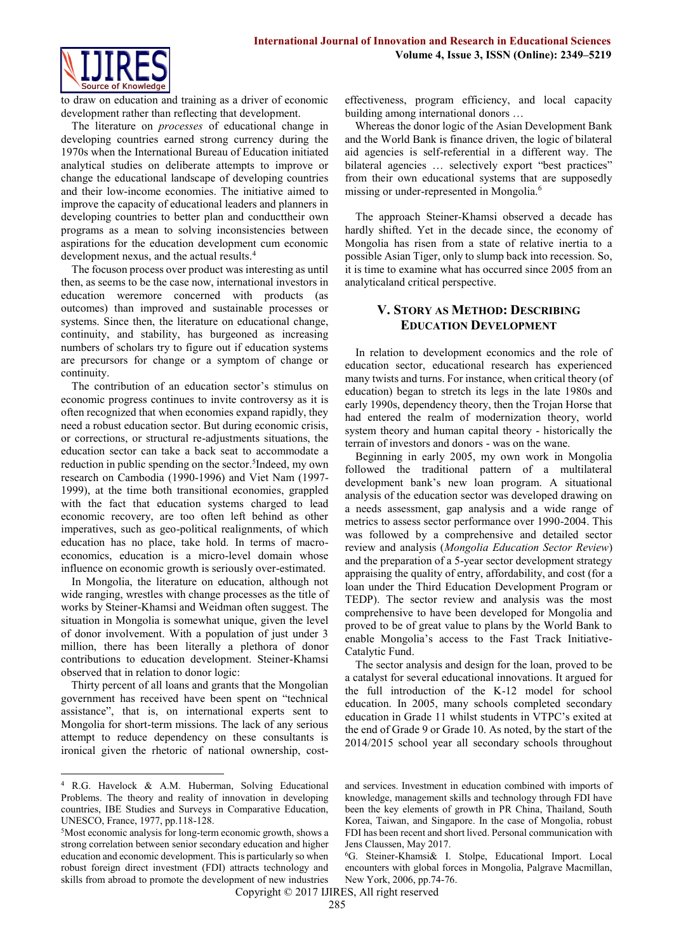

to draw on education and training as a driver of economic development rather than reflecting that development.

The literature on *processes* of educational change in developing countries earned strong currency during the 1970s when the International Bureau of Education initiated analytical studies on deliberate attempts to improve or change the educational landscape of developing countries and their low-income economies. The initiative aimed to improve the capacity of educational leaders and planners in developing countries to better plan and conducttheir own programs as a mean to solving inconsistencies between aspirations for the education development cum economic development nexus, and the actual results. 4

The focuson process over product was interesting as until then, as seems to be the case now, international investors in education weremore concerned with products (as outcomes) than improved and sustainable processes or systems. Since then, the literature on educational change, continuity, and stability, has burgeoned as increasing numbers of scholars try to figure out if education systems are precursors for change or a symptom of change or continuity.

The contribution of an education sector's stimulus on economic progress continues to invite controversy as it is often recognized that when economies expand rapidly, they need a robust education sector. But during economic crisis, or corrections, or structural re-adjustments situations, the education sector can take a back seat to accommodate a reduction in public spending on the sector. 5 Indeed, my own research on Cambodia (1990-1996) and Viet Nam (1997- 1999), at the time both transitional economies, grappled with the fact that education systems charged to lead economic recovery, are too often left behind as other imperatives, such as geo-political realignments, of which education has no place, take hold. In terms of macroeconomics, education is a micro-level domain whose influence on economic growth is seriously over-estimated.

In Mongolia, the literature on education, although not wide ranging, wrestles with change processes as the title of works by Steiner-Khamsi and Weidman often suggest. The situation in Mongolia is somewhat unique, given the level of donor involvement. With a population of just under 3 million, there has been literally a plethora of donor contributions to education development. Steiner-Khamsi observed that in relation to donor logic:

Thirty percent of all loans and grants that the Mongolian government has received have been spent on "technical assistance", that is, on international experts sent to Mongolia for short-term missions. The lack of any serious attempt to reduce dependency on these consultants is ironical given the rhetoric of national ownership, cost-

**.** 

effectiveness, program efficiency, and local capacity building among international donors …

Whereas the donor logic of the Asian Development Bank and the World Bank is finance driven, the logic of bilateral aid agencies is self-referential in a different way. The bilateral agencies ... selectively export "best practices" from their own educational systems that are supposedly missing or under-represented in Mongolia.<sup>6</sup>

The approach Steiner-Khamsi observed a decade has hardly shifted. Yet in the decade since, the economy of Mongolia has risen from a state of relative inertia to a possible Asian Tiger, only to slump back into recession. So, it is time to examine what has occurred since 2005 from an analyticaland critical perspective.

## **V. STORY AS METHOD: DESCRIBING EDUCATION DEVELOPMENT**

In relation to development economics and the role of education sector, educational research has experienced many twists and turns. For instance, when critical theory (of education) began to stretch its legs in the late 1980s and early 1990s, dependency theory, then the Trojan Horse that had entered the realm of modernization theory, world system theory and human capital theory - historically the terrain of investors and donors - was on the wane.

Beginning in early 2005, my own work in Mongolia followed the traditional pattern of a multilateral development bank's new loan program. A situational analysis of the education sector was developed drawing on a needs assessment, gap analysis and a wide range of metrics to assess sector performance over 1990-2004. This was followed by a comprehensive and detailed sector review and analysis (*Mongolia Education Sector Review*) and the preparation of a 5-year sector development strategy appraising the quality of entry, affordability, and cost (for a loan under the Third Education Development Program or TEDP). The sector review and analysis was the most comprehensive to have been developed for Mongolia and proved to be of great value to plans by the World Bank to enable Mongolia's access to the Fast Track Initiative-Catalytic Fund.

The sector analysis and design for the loan, proved to be a catalyst for several educational innovations. It argued for the full introduction of the K-12 model for school education. In 2005, many schools completed secondary education in Grade 11 whilst students in VTPC's exited at the end of Grade 9 or Grade 10. As noted, by the start of the 2014/2015 school year all secondary schools throughout

<sup>4</sup> R.G. Havelock & A.M. Huberman, Solving Educational Problems. The theory and reality of innovation in developing countries, IBE Studies and Surveys in Comparative Education, UNESCO, France, 1977, pp.118-128.

<sup>5</sup>Most economic analysis for long-term economic growth, shows a strong correlation between senior secondary education and higher education and economic development. This is particularly so when robust foreign direct investment (FDI) attracts technology and skills from abroad to promote the development of new industries

and services. Investment in education combined with imports of knowledge, management skills and technology through FDI have been the key elements of growth in PR China, Thailand, South Korea, Taiwan, and Singapore. In the case of Mongolia, robust FDI has been recent and short lived. Personal communication with Jens Claussen, May 2017.

<sup>6</sup>G. Steiner-Khamsi& I. Stolpe, Educational Import. Local encounters with global forces in Mongolia, Palgrave Macmillan, New York, 2006, pp.74-76.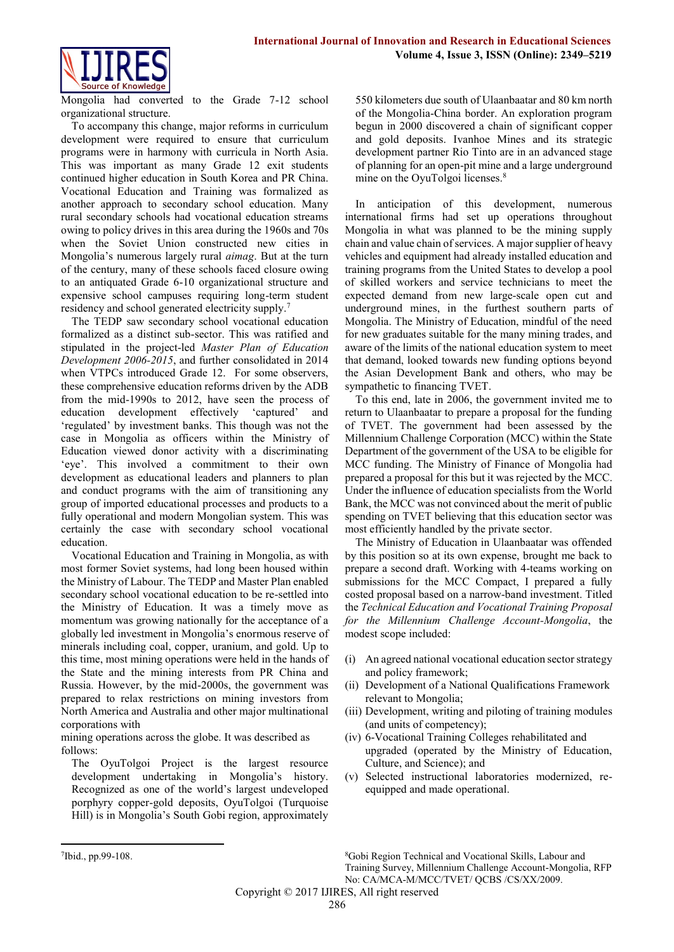

Mongolia had converted to the Grade 7-12 school organizational structure.

To accompany this change, major reforms in curriculum development were required to ensure that curriculum programs were in harmony with curricula in North Asia. This was important as many Grade 12 exit students continued higher education in South Korea and PR China. Vocational Education and Training was formalized as another approach to secondary school education. Many rural secondary schools had vocational education streams owing to policy drives in this area during the 1960s and 70s when the Soviet Union constructed new cities in Mongolia's numerous largely rural *aimag*. But at the turn of the century, many of these schools faced closure owing to an antiquated Grade 6-10 organizational structure and expensive school campuses requiring long-term student residency and school generated electricity supply.<sup>7</sup>

The TEDP saw secondary school vocational education formalized as a distinct sub-sector. This was ratified and stipulated in the project-led *Master Plan of Education Development 2006-2015*, and further consolidated in 2014 when VTPCs introduced Grade 12. For some observers, these comprehensive education reforms driven by the ADB from the mid-1990s to 2012, have seen the process of education development effectively 'captured' and 'regulated' by investment banks. This though was not the case in Mongolia as officers within the Ministry of Education viewed donor activity with a discriminating 'eye'. This involved a commitment to their own development as educational leaders and planners to plan and conduct programs with the aim of transitioning any group of imported educational processes and products to a fully operational and modern Mongolian system. This was certainly the case with secondary school vocational education.

Vocational Education and Training in Mongolia, as with most former Soviet systems, had long been housed within the Ministry of Labour. The TEDP and Master Plan enabled secondary school vocational education to be re-settled into the Ministry of Education. It was a timely move as momentum was growing nationally for the acceptance of a globally led investment in Mongolia's enormous reserve of minerals including coal, copper, uranium, and gold. Up to this time, most mining operations were held in the hands of the State and the mining interests from PR China and Russia. However, by the mid-2000s, the government was prepared to relax restrictions on mining investors from North America and Australia and other major multinational corporations with

mining operations across the globe. It was described as follows:

The OyuTolgoi Project is the largest resource development undertaking in Mongolia's history. Recognized as one of the world's largest undeveloped porphyry copper-gold deposits, OyuTolgoi (Turquoise Hill) is in Mongolia's South Gobi region, approximately 550 kilometers due south of Ulaanbaatar and 80 km north of the Mongolia-China border. An exploration program begun in 2000 discovered a chain of significant copper and gold deposits. Ivanhoe Mines and its strategic development partner Rio Tinto are in an advanced stage of planning for an open-pit mine and a large underground mine on the OyuTolgoi licenses.<sup>8</sup>

In anticipation of this development, numerous international firms had set up operations throughout Mongolia in what was planned to be the mining supply chain and value chain of services. A major supplier of heavy vehicles and equipment had already installed education and training programs from the United States to develop a pool of skilled workers and service technicians to meet the expected demand from new large-scale open cut and underground mines, in the furthest southern parts of Mongolia. The Ministry of Education, mindful of the need for new graduates suitable for the many mining trades, and aware of the limits of the national education system to meet that demand, looked towards new funding options beyond the Asian Development Bank and others, who may be sympathetic to financing TVET.

To this end, late in 2006, the government invited me to return to Ulaanbaatar to prepare a proposal for the funding of TVET. The government had been assessed by the Millennium Challenge Corporation (MCC) within the State Department of the government of the USA to be eligible for MCC funding. The Ministry of Finance of Mongolia had prepared a proposal for this but it was rejected by the MCC. Under the influence of education specialists from the World Bank, the MCC was not convinced about the merit of public spending on TVET believing that this education sector was most efficiently handled by the private sector.

The Ministry of Education in Ulaanbaatar was offended by this position so at its own expense, brought me back to prepare a second draft. Working with 4-teams working on submissions for the MCC Compact, I prepared a fully costed proposal based on a narrow-band investment. Titled the *Technical Education and Vocational Training Proposal for the Millennium Challenge Account-Mongolia*, the modest scope included:

- (i) An agreed national vocational education sector strategy and policy framework;
- (ii) Development of a National Qualifications Framework relevant to Mongolia;
- (iii) Development, writing and piloting of training modules (and units of competency);
- (iv) 6-Vocational Training Colleges rehabilitated and upgraded (operated by the Ministry of Education, Culture, and Science); and
- (v) Selected instructional laboratories modernized, reequipped and made operational.

 $\overline{a}$ 

<sup>8</sup>Gobi Region Technical and Vocational Skills, Labour and Training Survey, Millennium Challenge Account-Mongolia, RFP No: CA/MCA-M/MCC/TVET/ QCBS /CS/XX/2009.

<sup>7</sup> Ibid., pp.99-108.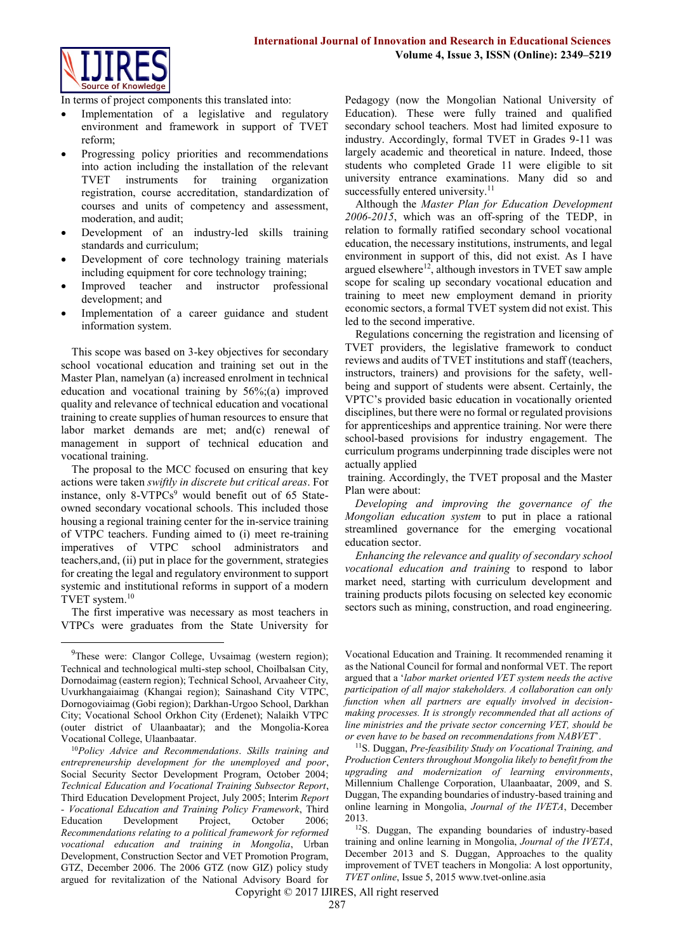

In terms of project components this translated into:

- Implementation of a legislative and regulatory environment and framework in support of TVET reform;
- Progressing policy priorities and recommendations into action including the installation of the relevant TVET instruments for training organization registration, course accreditation, standardization of courses and units of competency and assessment, moderation, and audit;
- Development of an industry-led skills training standards and curriculum;
- Development of core technology training materials including equipment for core technology training;
- Improved teacher and instructor professional development; and
- Implementation of a career guidance and student information system.

This scope was based on 3-key objectives for secondary school vocational education and training set out in the Master Plan, namelyan (a) increased enrolment in technical education and vocational training by 56%;(a) improved quality and relevance of technical education and vocational training to create supplies of human resources to ensure that labor market demands are met; and(c) renewal of management in support of technical education and vocational training.

The proposal to the MCC focused on ensuring that key actions were taken *swiftly in discrete but critical areas*. For instance, only  $8-\sqrt{TPCs^9}$  would benefit out of 65 Stateowned secondary vocational schools. This included those housing a regional training center for the in-service training of VTPC teachers. Funding aimed to (i) meet re-training imperatives of VTPC school administrators and teachers,and, (ii) put in place for the government, strategies for creating the legal and regulatory environment to support systemic and institutional reforms in support of a modern TVET system. 10

The first imperative was necessary as most teachers in VTPCs were graduates from the State University for

1

Pedagogy (now the Mongolian National University of Education). These were fully trained and qualified secondary school teachers. Most had limited exposure to industry. Accordingly, formal TVET in Grades 9-11 was largely academic and theoretical in nature. Indeed, those students who completed Grade 11 were eligible to sit university entrance examinations. Many did so and successfully entered university.<sup>11</sup>

Although the *Master Plan for Education Development 2006-2015*, which was an off-spring of the TEDP, in relation to formally ratified secondary school vocational education, the necessary institutions, instruments, and legal environment in support of this, did not exist. As I have argued elsewhere<sup>12</sup>, although investors in TVET saw ample scope for scaling up secondary vocational education and training to meet new employment demand in priority economic sectors, a formal TVET system did not exist. This led to the second imperative.

Regulations concerning the registration and licensing of TVET providers, the legislative framework to conduct reviews and audits of TVET institutions and staff (teachers, instructors, trainers) and provisions for the safety, wellbeing and support of students were absent. Certainly, the VPTC's provided basic education in vocationally oriented disciplines, but there were no formal or regulated provisions for apprenticeships and apprentice training. Nor were there school-based provisions for industry engagement. The curriculum programs underpinning trade disciples were not actually applied

training. Accordingly, the TVET proposal and the Master Plan were about:

*Developing and improving the governance of the Mongolian education system* to put in place a rational streamlined governance for the emerging vocational education sector.

*Enhancing the relevance and quality of secondary school vocational education and training* to respond to labor market need, starting with curriculum development and training products pilots focusing on selected key economic sectors such as mining, construction, and road engineering.

Vocational Education and Training. It recommended renaming it as the National Council for formal and nonformal VET. The report argued that a '*labor market oriented VET system needs the active participation of all major stakeholders. A collaboration can only function when all partners are equally involved in decisionmaking processes. It is strongly recommended that all actions of line ministries and the private sector concerning VET, should be or even have to be based on recommendations from NABVET*'.

<sup>11</sup>S. Duggan, *Pre-feasibility Study on Vocational Training, and Production Centers throughout Mongolia likely to benefit from the upgrading and modernization of learning environments*, Millennium Challenge Corporation, Ulaanbaatar, 2009, and S. Duggan, The expanding boundaries of industry-based training and online learning in Mongolia, *Journal of the IVETA*, December 2013.

<sup>12</sup>S. Duggan, The expanding boundaries of industry-based training and online learning in Mongolia, *Journal of the IVETA*, December 2013 and S. Duggan, Approaches to the quality improvement of TVET teachers in Mongolia: A lost opportunity, *TVET online*, Issue 5, 201[5 www.tvet-online.asia](http://www.tvet-online.asia/)

<sup>&</sup>lt;sup>9</sup>These were: Clangor College, Uvsaimag (western region); Technical and technological multi-step school, Choilbalsan City, Dornodaimag (eastern region); Technical School, Arvaaheer City, Uvurkhangaiaimag (Khangai region); Sainashand City VTPC, Dornogoviaimag (Gobi region); Darkhan-Urgoo School, Darkhan City; Vocational School Orkhon City (Erdenet); Nalaikh VTPC (outer district of Ulaanbaatar); and the Mongolia-Korea Vocational College, Ulaanbaatar.

<sup>10</sup>*Policy Advice and Recommendations*. *Skills training and entrepreneurship development for the unemployed and poor*, Social Security Sector Development Program, October 2004; *Technical Education and Vocational Training Subsector Report*, Third Education Development Project, July 2005; Interim *Report - Vocational Education and Training Policy Framework*, Third Education Development Project, October 2006; *Recommendations relating to a political framework for reformed vocational education and training in Mongolia*, Urban Development, Construction Sector and VET Promotion Program, GTZ, December 2006. The 2006 GTZ (now GIZ) policy study argued for revitalization of the National Advisory Board for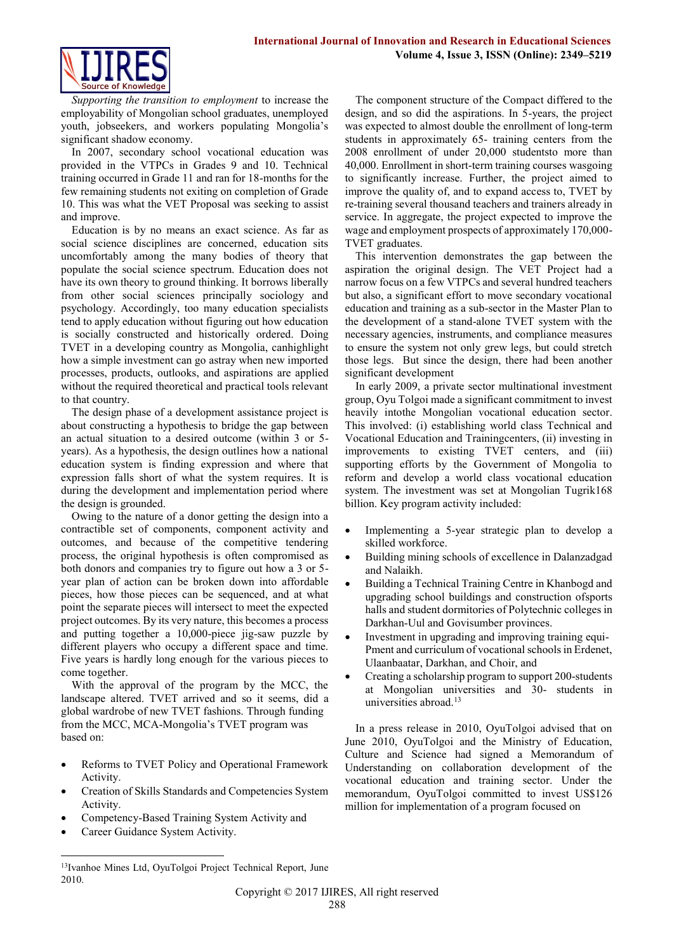

*Supporting the transition to employment* to increase the employability of Mongolian school graduates, unemployed youth, jobseekers, and workers populating Mongolia's significant shadow economy.

In 2007, secondary school vocational education was provided in the VTPCs in Grades 9 and 10. Technical training occurred in Grade 11 and ran for 18-months for the few remaining students not exiting on completion of Grade 10. This was what the VET Proposal was seeking to assist and improve.

Education is by no means an exact science. As far as social science disciplines are concerned, education sits uncomfortably among the many bodies of theory that populate the social science spectrum. Education does not have its own theory to ground thinking. It borrows liberally from other social sciences principally sociology and psychology. Accordingly, too many education specialists tend to apply education without figuring out how education is socially constructed and historically ordered. Doing TVET in a developing country as Mongolia, canhighlight how a simple investment can go astray when new imported processes, products, outlooks, and aspirations are applied without the required theoretical and practical tools relevant to that country.

The design phase of a development assistance project is about constructing a hypothesis to bridge the gap between an actual situation to a desired outcome (within 3 or 5 years). As a hypothesis, the design outlines how a national education system is finding expression and where that expression falls short of what the system requires. It is during the development and implementation period where the design is grounded.

Owing to the nature of a donor getting the design into a contractible set of components, component activity and outcomes, and because of the competitive tendering process, the original hypothesis is often compromised as both donors and companies try to figure out how a 3 or 5 year plan of action can be broken down into affordable pieces, how those pieces can be sequenced, and at what point the separate pieces will intersect to meet the expected project outcomes. By its very nature, this becomes a process and putting together a 10,000-piece jig-saw puzzle by different players who occupy a different space and time. Five years is hardly long enough for the various pieces to come together.

With the approval of the program by the MCC, the landscape altered. TVET arrived and so it seems, did a global wardrobe of new TVET fashions. Through funding from the MCC, MCA-Mongolia's TVET program was based on:

- Reforms to TVET Policy and Operational Framework Activity.
- Creation of Skills Standards and Competencies System Activity.
- Competency-Based Training System Activity and
- Career Guidance System Activity.

**.** 

This intervention demonstrates the gap between the aspiration the original design. The VET Project had a narrow focus on a few VTPCs and several hundred teachers but also, a significant effort to move secondary vocational education and training as a sub-sector in the Master Plan to the development of a stand-alone TVET system with the necessary agencies, instruments, and compliance measures to ensure the system not only grew legs, but could stretch those legs. But since the design, there had been another significant development

In early 2009, a private sector multinational investment group, Oyu Tolgoi made a significant commitment to invest heavily intothe Mongolian vocational education sector. This involved: (i) establishing world class Technical and Vocational Education and Trainingcenters, (ii) investing in improvements to existing TVET centers, and (iii) supporting efforts by the Government of Mongolia to reform and develop a world class vocational education system. The investment was set at Mongolian Tugrik168 billion. Key program activity included:

- Implementing a 5-year strategic plan to develop a skilled workforce.
- Building mining schools of excellence in Dalanzadgad and Nalaikh.
- Building a Technical Training Centre in Khanbogd and upgrading school buildings and construction ofsports halls and student dormitories of Polytechnic colleges in Darkhan-Uul and Govisumber provinces.
- Investment in upgrading and improving training equi-Pment and curriculum of vocational schools in Erdenet, Ulaanbaatar, Darkhan, and Choir, and
- Creating a scholarship program to support 200-students at Mongolian universities and 30- students in universities abroad.<sup>13</sup>

In a press release in 2010, OyuTolgoi advised that on June 2010, OyuTolgoi and the Ministry of Education, Culture and Science had signed a Memorandum of Understanding on collaboration development of the vocational education and training sector. Under the memorandum, OyuTolgoi committed to invest US\$126 million for implementation of a program focused on

The component structure of the Compact differed to the design, and so did the aspirations. In 5-years, the project was expected to almost double the enrollment of long-term students in approximately 65- training centers from the 2008 enrollment of under 20,000 studentsto more than 40,000. Enrollment in short-term training courses wasgoing to significantly increase. Further, the project aimed to improve the quality of, and to expand access to, TVET by re-training several thousand teachers and trainers already in service. In aggregate, the project expected to improve the wage and employment prospects of approximately 170,000- TVET graduates.

<sup>13</sup>Ivanhoe Mines Ltd, OyuTolgoi Project Technical Report, June 2010.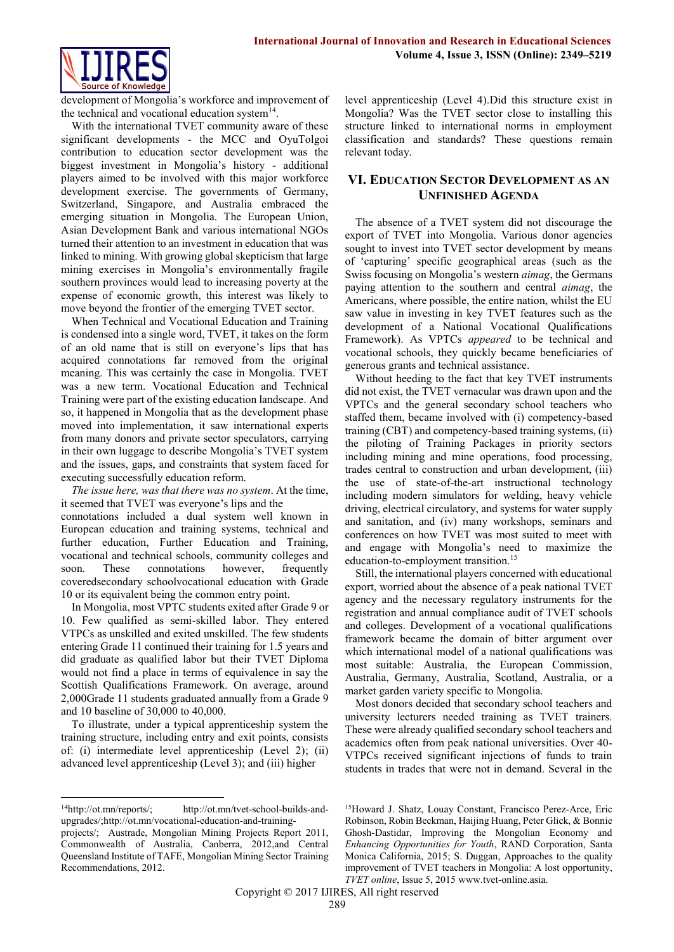

development of Mongolia's workforce and improvement of the technical and vocational education system $<sup>14</sup>$ .</sup>

With the international TVET community aware of these significant developments - the MCC and OyuTolgoi contribution to education sector development was the biggest investment in Mongolia's history - additional players aimed to be involved with this major workforce development exercise. The governments of Germany, Switzerland, Singapore, and Australia embraced the emerging situation in Mongolia. The European Union, Asian Development Bank and various international NGOs turned their attention to an investment in education that was linked to mining. With growing global skepticism that large mining exercises in Mongolia's environmentally fragile southern provinces would lead to increasing poverty at the expense of economic growth, this interest was likely to move beyond the frontier of the emerging TVET sector.

When Technical and Vocational Education and Training is condensed into a single word, TVET, it takes on the form of an old name that is still on everyone's lips that has acquired connotations far removed from the original meaning. This was certainly the case in Mongolia. TVET was a new term. Vocational Education and Technical Training were part of the existing education landscape. And so, it happened in Mongolia that as the development phase moved into implementation, it saw international experts from many donors and private sector speculators, carrying in their own luggage to describe Mongolia's TVET system and the issues, gaps, and constraints that system faced for executing successfully education reform.

*The issue here, was that there was no system*. At the time, it seemed that TVET was everyone's lips and the

connotations included a dual system well known in European education and training systems, technical and further education, Further Education and Training, vocational and technical schools, community colleges and soon. These connotations however, frequently coveredsecondary schoolvocational education with Grade 10 or its equivalent being the common entry point.

In Mongolia, most VPTC students exited after Grade 9 or 10. Few qualified as semi-skilled labor. They entered VTPCs as unskilled and exited unskilled. The few students entering Grade 11 continued their training for 1.5 years and did graduate as qualified labor but their TVET Diploma would not find a place in terms of equivalence in say the Scottish Qualifications Framework. On average, around 2,000Grade 11 students graduated annually from a Grade 9 and 10 baseline of 30,000 to 40,000.

To illustrate, under a typical apprenticeship system the training structure, including entry and exit points, consists of: (i) intermediate level apprenticeship (Level 2); (ii) advanced level apprenticeship (Level 3); and (iii) higher

**.** 

level apprenticeship (Level 4).Did this structure exist in Mongolia? Was the TVET sector close to installing this structure linked to international norms in employment classification and standards? These questions remain relevant today.

## **VI. EDUCATION SECTOR DEVELOPMENT AS AN UNFINISHED AGENDA**

The absence of a TVET system did not discourage the export of TVET into Mongolia. Various donor agencies sought to invest into TVET sector development by means of 'capturing' specific geographical areas (such as the Swiss focusing on Mongolia's western *aimag*, the Germans paying attention to the southern and central *aimag*, the Americans, where possible, the entire nation, whilst the EU saw value in investing in key TVET features such as the development of a National Vocational Qualifications Framework). As VPTCs *appeared* to be technical and vocational schools, they quickly became beneficiaries of generous grants and technical assistance.

Without heeding to the fact that key TVET instruments did not exist, the TVET vernacular was drawn upon and the VPTCs and the general secondary school teachers who staffed them, became involved with (i) competency-based training (CBT) and competency-based training systems, (ii) the piloting of Training Packages in priority sectors including mining and mine operations, food processing, trades central to construction and urban development, (iii) the use of state-of-the-art instructional technology including modern simulators for welding, heavy vehicle driving, electrical circulatory, and systems for water supply and sanitation, and (iv) many workshops, seminars and conferences on how TVET was most suited to meet with and engage with Mongolia's need to maximize the education-to-employment transition.<sup>15</sup>

Still, the international players concerned with educational export, worried about the absence of a peak national TVET agency and the necessary regulatory instruments for the registration and annual compliance audit of TVET schools and colleges. Development of a vocational qualifications framework became the domain of bitter argument over which international model of a national qualifications was most suitable: Australia, the European Commission, Australia, Germany, Australia, Scotland, Australia, or a market garden variety specific to Mongolia.

Most donors decided that secondary school teachers and university lecturers needed training as TVET trainers. These were already qualified secondary school teachers and academics often from peak national universities. Over 40- VTPCs received significant injections of funds to train students in trades that were not in demand. Several in the

<sup>&</sup>lt;sup>14</sup>[http://ot.mn/reports/;](http://ot.mn/reports/) [http://ot.mn/tvet-school-builds-and](http://ot.mn/tvet-school-builds-and-upgrades/)[upgrades/](http://ot.mn/tvet-school-builds-and-upgrades/)[;http://ot.mn/vocational-education-and-training-](http://ot.mn/vocational-education-and-training-projects/)

[projects/;](http://ot.mn/vocational-education-and-training-projects/) Austrade, Mongolian Mining Projects Report 2011, Commonwealth of Australia, Canberra, 2012,and Central Queensland Institute of TAFE, Mongolian Mining Sector Training Recommendations, 2012.

<sup>15</sup>Howard J. Shatz, Louay Constant, Francisco Perez-Arce, Eric Robinson, Robin Beckman, Haijing Huang, Peter Glick, & Bonnie Ghosh-Dastidar, Improving the Mongolian Economy and *Enhancing Opportunities for Youth*, RAND Corporation, Santa Monica California, 2015; S. Duggan, Approaches to the quality improvement of TVET teachers in Mongolia: A lost opportunity, *TVET online*, Issue 5, 201[5 www.tvet-online.asia.](http://www.tvet-online.asia/)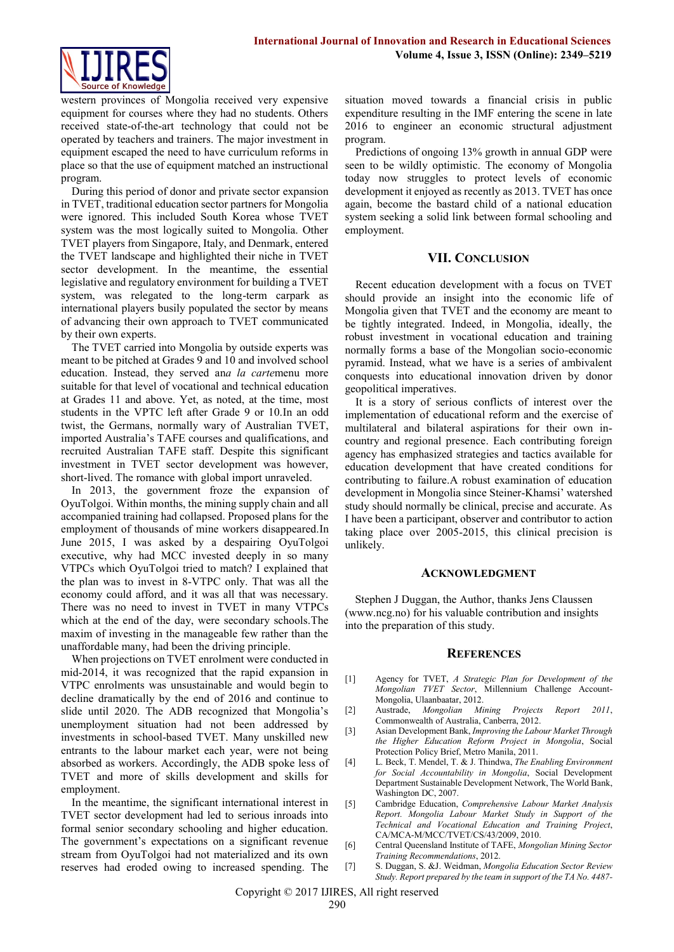

western provinces of Mongolia received very expensive equipment for courses where they had no students. Others received state-of-the-art technology that could not be operated by teachers and trainers. The major investment in equipment escaped the need to have curriculum reforms in place so that the use of equipment matched an instructional program.

During this period of donor and private sector expansion in TVET, traditional education sector partners for Mongolia were ignored. This included South Korea whose TVET system was the most logically suited to Mongolia. Other TVET players from Singapore, Italy, and Denmark, entered the TVET landscape and highlighted their niche in TVET sector development. In the meantime, the essential legislative and regulatory environment for building a TVET system, was relegated to the long-term carpark as international players busily populated the sector by means of advancing their own approach to TVET communicated by their own experts.

The TVET carried into Mongolia by outside experts was meant to be pitched at Grades 9 and 10 and involved school education. Instead, they served an*a la carte*menu more suitable for that level of vocational and technical education at Grades 11 and above. Yet, as noted, at the time, most students in the VPTC left after Grade 9 or 10.In an odd twist, the Germans, normally wary of Australian TVET, imported Australia's TAFE courses and qualifications, and recruited Australian TAFE staff. Despite this significant investment in TVET sector development was however, short-lived. The romance with global import unraveled.

In 2013, the government froze the expansion of OyuTolgoi. Within months, the mining supply chain and all accompanied training had collapsed. Proposed plans for the employment of thousands of mine workers disappeared.In June 2015, I was asked by a despairing OyuTolgoi executive, why had MCC invested deeply in so many VTPCs which OyuTolgoi tried to match? I explained that the plan was to invest in 8-VTPC only. That was all the economy could afford, and it was all that was necessary. There was no need to invest in TVET in many VTPCs which at the end of the day, were secondary schools.The maxim of investing in the manageable few rather than the unaffordable many, had been the driving principle.

When projections on TVET enrolment were conducted in mid-2014, it was recognized that the rapid expansion in VTPC enrolments was unsustainable and would begin to decline dramatically by the end of 2016 and continue to slide until 2020. The ADB recognized that Mongolia's unemployment situation had not been addressed by investments in school-based TVET. Many unskilled new entrants to the labour market each year, were not being absorbed as workers. Accordingly, the ADB spoke less of TVET and more of skills development and skills for employment.

In the meantime, the significant international interest in TVET sector development had led to serious inroads into formal senior secondary schooling and higher education. The government's expectations on a significant revenue stream from OyuTolgoi had not materialized and its own reserves had eroded owing to increased spending. The

situation moved towards a financial crisis in public expenditure resulting in the IMF entering the scene in late 2016 to engineer an economic structural adjustment program.

Predictions of ongoing 13% growth in annual GDP were seen to be wildly optimistic. The economy of Mongolia today now struggles to protect levels of economic development it enjoyed as recently as 2013. TVET has once again, become the bastard child of a national education system seeking a solid link between formal schooling and employment.

#### **VII. CONCLUSION**

Recent education development with a focus on TVET should provide an insight into the economic life of Mongolia given that TVET and the economy are meant to be tightly integrated. Indeed, in Mongolia, ideally, the robust investment in vocational education and training normally forms a base of the Mongolian socio-economic pyramid. Instead, what we have is a series of ambivalent conquests into educational innovation driven by donor geopolitical imperatives.

It is a story of serious conflicts of interest over the implementation of educational reform and the exercise of multilateral and bilateral aspirations for their own incountry and regional presence. Each contributing foreign agency has emphasized strategies and tactics available for education development that have created conditions for contributing to failure.A robust examination of education development in Mongolia since Steiner-Khamsi' watershed study should normally be clinical, precise and accurate. As I have been a participant, observer and contributor to action taking place over 2005-2015, this clinical precision is unlikely.

#### **ACKNOWLEDGMENT**

Stephen J Duggan, the Author, thanks Jens Claussen [\(www.ncg.no\)](http://www.ncg.no/) for his valuable contribution and insights into the preparation of this study.

### **REFERENCES**

- [1] Agency for TVET, *A Strategic Plan for Development of the Mongolian TVET Sector*, Millennium Challenge Account-Mongolia, Ulaanbaatar, 2012.
- [2] Austrade, *Mongolian Mining Projects Report 2011*, Commonwealth of Australia, Canberra, 2012.
- [3] Asian Development Bank, *Improving the Labour Market Through the Higher Education Reform Project in Mongolia*, Social Protection Policy Brief, Metro Manila, 2011.
- [4] L. Beck, T. Mendel, T. & J. Thindwa, *The Enabling Environment for Social Accountability in Mongolia*, Social Development Department Sustainable Development Network, The World Bank, Washington DC, 2007.
- [5] Cambridge Education, *Comprehensive Labour Market Analysis Report. Mongolia Labour Market Study in Support of the Technical and Vocational Education and Training Project*, CA/MCA-M/MCC/TVET/CS/43/2009, 2010.
- [6] Central Queensland Institute of TAFE, *Mongolian Mining Sector Training Recommendations*, 2012.
- [7] S. Duggan, S. &J. Weidman, *Mongolia Education Sector Review Study. Report prepared by the team in support of the TA No. 4487-*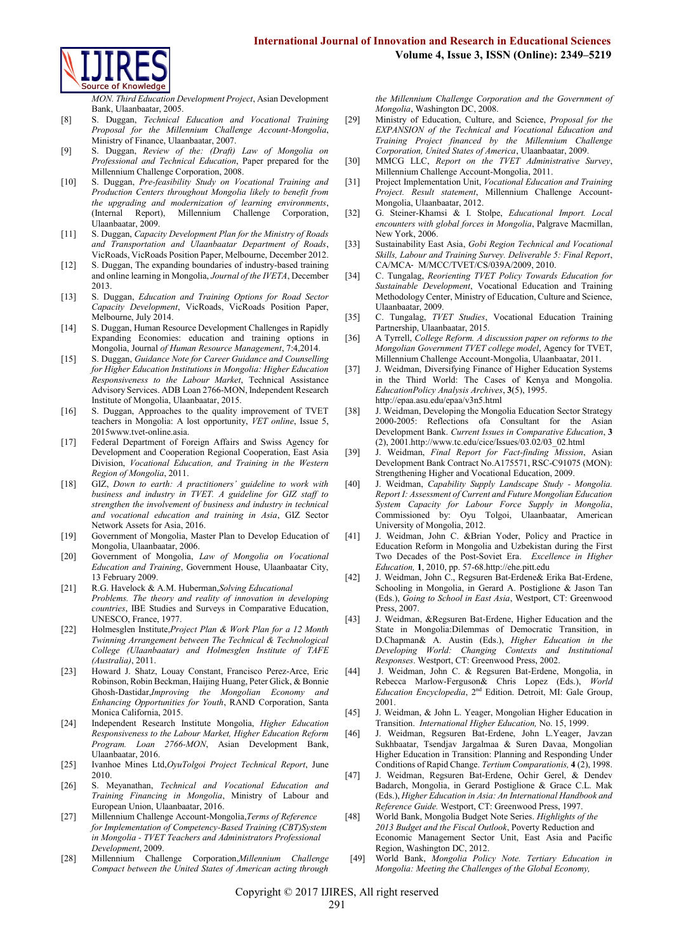

*MON. Third Education Development Project*, Asian Development Bank, Ulaanbaatar, 2005.

- [8] S. Duggan, *Technical Education and Vocational Training Proposal for the Millennium Challenge Account-Mongolia*, Ministry of Finance, Ulaanbaatar, 2007.
- [9] S. Duggan, *Review of the: (Draft) Law of Mongolia on Professional and Technical Education*, Paper prepared for the Millennium Challenge Corporation, 2008.
- [10] S. Duggan, *Pre-feasibility Study on Vocational Training and Production Centers throughout Mongolia likely to benefit from the upgrading and modernization of learning environments*, (Internal Report), Millennium Challenge Corporation, Ulaanbaatar, 2009.
- [11] S. Duggan, *Capacity Development Plan for the Ministry of Roads and Transportation and Ulaanbaatar Department of Roads*, VicRoads, VicRoads Position Paper, Melbourne, December 2012.
- [12] S. Duggan, The expanding boundaries of industry-based training and online learning in Mongolia, *Journal of the IVETA*, December 2013.
- [13] S. Duggan, *Education and Training Options for Road Sector Capacity Development*, VicRoads, VicRoads Position Paper, Melbourne, July 2014.
- [14] S. Duggan, Human Resource Development Challenges in Rapidly Expanding Economies: education and training options in Mongolia, Journal *of Human Resource Management*, 7:4,2014.
- [15] S. Duggan, *Guidance Note for Career Guidance and Counselling for Higher Education Institutions in Mongolia: Higher Education Responsiveness to the Labour Market*, Technical Assistance Advisory Services. ADB Loan 2766-MON, Independent Research Institute of Mongolia, Ulaanbaatar, 2015.
- [16] S. Duggan, Approaches to the quality improvement of TVET teachers in Mongolia: A lost opportunity, *VET online*, Issue 5, 201[5www.tvet-online.asia.](http://www.tvet-online.asia/)
- [17] Federal Department of Foreign Affairs and Swiss Agency for Development and Cooperation Regional Cooperation, East Asia Division, *Vocational Education, and Training in the Western Region of Mongolia*, 2011.
- [18] GIZ, *Down to earth: A practitioners' guideline to work with business and industry in TVET. A guideline for GIZ staff to strengthen the involvement of business and industry in technical and vocational education and training in Asia*, GIZ Sector Network Assets for Asia, 2016.
- [19] Government of Mongolia, Master Plan to Develop Education of Mongolia, Ulaanbaatar, 2006.
- [20] Government of Mongolia, *Law of Mongolia on Vocational Education and Training*, Government House, Ulaanbaatar City, 13 February 2009.
- [21] R.G. Havelock & A.M. Huberman,*Solving Educational Problems. The theory and reality of innovation in developing countries*, IBE Studies and Surveys in Comparative Education, UNESCO, France, 1977.
- [22] Holmesglen Institute,*Project Plan & Work Plan for a 12 Month Twinning Arrangement between The Technical & Technological College (Ulaanbaatar) and Holmesglen Institute of TAFE (Australia)*, 2011.
- [23] Howard J. Shatz, Louay Constant, Francisco Perez-Arce, Eric Robinson, Robin Beckman, Haijing Huang, Peter Glick, & Bonnie Ghosh-Dastidar,*Improving the Mongolian Economy and Enhancing Opportunities for Youth*, RAND Corporation, Santa Monica California, 2015.
- [24] Independent Research Institute Mongolia, *Higher Education Responsiveness to the Labour Market, Higher Education Reform Program. Loan 2766-MON*, Asian Development Bank, Ulaanbaatar, 2016.
- [25] Ivanhoe Mines Ltd,*OyuTolgoi Project Technical Report*, June 2010.
- [26] S. Meyanathan, *Technical and Vocational Education and Training Financing in Mongolia*, Ministry of Labour and European Union, Ulaanbaatar, 2016.
- [27] Millennium Challenge Account-Mongolia,*Terms of Reference for Implementation of Competency-Based Training (CBT)System in Mongolia - TVET Teachers and Administrators Professional Development*, 2009.
- [28] Millennium Challenge Corporation,*Millennium Challenge Compact between the United States of American acting through*

*the Millennium Challenge Corporation and the Government of Mongolia*, Washington DC, 2008.

- [29] Ministry of Education, Culture, and Science, *Proposal for the EXPANSION of the Technical and Vocational Education and Training Project financed by the Millennium Challenge Corporation, United States of America*, Ulaanbaatar, 2009.
- [30] MMCG LLC, *Report on the TVET Administrative Survey*, Millennium Challenge Account-Mongolia, 2011.
- [31] Project Implementation Unit, *Vocational Education and Training Project. Result statement*, Millennium Challenge Account-Mongolia, Ulaanbaatar, 2012.
- [32] G. Steiner-Khamsi & I. Stolpe, *Educational Import. Local encounters with global forces in Mongolia*, Palgrave Macmillan, New York, 2006.
- [33] Sustainability East Asia, *Gobi Region Technical and Vocational Skills, Labour and Training Survey. Deliverable 5: Final Report*, CA/MCA‐ M/MCC/TVET/CS/039A/2009, 2010.
- [34] C. Tungalag, *Reorienting TVET Policy Towards Education for Sustainable Development*, Vocational Education and Training Methodology Center, Ministry of Education, Culture and Science, Ulaanbaatar, 2009.
- [35] C. Tungalag, *TVET Studies*, Vocational Education Training Partnership, Ulaanbaatar, 2015.
- [36] A Tyrrell, *College Reform. A discussion paper on reforms to the Mongolian Government TVET college model*, Agency for TVET, Millennium Challenge Account-Mongolia, Ulaanbaatar, 2011.
- [37] J. Weidman, Diversifying Finance of Higher Education Systems in the Third World: The Cases of Kenya and Mongolia. *EducationPolicy Analysis Archives*, **3**(5), 1995. <http://epaa.asu.edu/epaa/v3n5.html>
- [38] J. Weidman, Developing the Mongolia Education Sector Strategy 2000-2005: Reflections ofa Consultant for the Asian Development Bank. *Current Issues in Comparative Education*, **3** (2), 200[1.http://www.tc.edu/cice/Issues/03.02/03\\_02.html](http://www.tc.edu/cice/Issues/03.02/03_02.html)
- [39] J. Weidman, *Final Report for Fact-finding Mission*, Asian Development Bank Contract No.A175571, RSC-C91075 (MON): Strengthening Higher and Vocational Education, 2009.
- [40] J. Weidman, *Capability Supply Landscape Study - Mongolia. Report I: Assessment of Current and Future Mongolian Education System Capacity for Labour Force Supply in Mongolia*, Commissioned by: Oyu Tolgoi, Ulaanbaatar, American University of Mongolia, 2012.
- [41] J. Weidman, John C. &Brian Yoder, Policy and Practice in Education Reform in Mongolia and Uzbekistan during the First Two Decades of the Post-Soviet Era. *Excellence in Higher Education,* **1**, 2010, pp. 57-6[8.http://ehe.pitt.edu](http://ehe.pitt.edu/)
- [42] J. Weidman, John C., Regsuren Bat-Erdene& Erika Bat-Erdene, Schooling in Mongolia, in Gerard A. Postiglione & Jason Tan (Eds.), *Going to School in East Asia*, Westport, CT: Greenwood Press, 2007.
- [43] J. Weidman, &Regsuren Bat-Erdene, Higher Education and the State in Mongolia:Dilemmas of Democratic Transition, in D.Chapman& A. Austin (Eds.), *Higher Education in the Developing World: Changing Contexts and Institutional Responses*. Westport, CT: Greenwood Press, 2002.
- [44] J. Weidman, John C. & Regsuren Bat-Erdene, Mongolia, in Rebecca Marlow-Ferguson& Chris Lopez (Eds.), *World Education Encyclopedia*, 2nd Edition. Detroit, MI: Gale Group, 2001.
- [45] J. Weidman, & John L. Yeager, Mongolian Higher Education in Transition. *International Higher Education,* No. 15, 1999.
- [46] J. Weidman, Regsuren Bat-Erdene, John L.Yeager, Javzan Sukhbaatar, Tsendjav Jargalmaa & Suren Davaa, Mongolian Higher Education in Transition: Planning and Responding Under Conditions of Rapid Change. *Tertium Comparationis,* **4** (2), 1998.
- [47] J. Weidman, Regsuren Bat-Erdene, Ochir Gerel, & Dendev Badarch, Mongolia, in Gerard Postiglione & Grace C.L. Mak (Eds.), *Higher Education in Asia: An International Handbook and Reference Guide.* Westport, CT: Greenwood Press, 1997.
- [48] World Bank, Mongolia Budget Note Series. *Highlights of the 2013 Budget and the Fiscal Outlook*, Poverty Reduction and Economic Management Sector Unit, East Asia and Pacific Region, Washington DC, 2012.
- [49] World Bank, *Mongolia Policy Note. Tertiary Education in Mongolia: Meeting the Challenges of the Global Economy,*